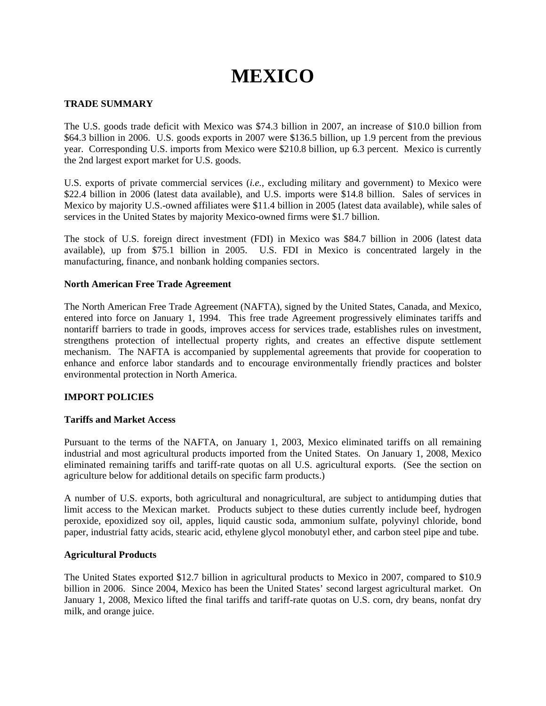# **MEXICO**

## **TRADE SUMMARY**

The U.S. goods trade deficit with Mexico was \$74.3 billion in 2007, an increase of \$10.0 billion from \$64.3 billion in 2006. U.S. goods exports in 2007 were \$136.5 billion, up 1.9 percent from the previous year. Corresponding U.S. imports from Mexico were \$210.8 billion, up 6.3 percent. Mexico is currently the 2nd largest export market for U.S. goods.

U.S. exports of private commercial services (*i.e.*, excluding military and government) to Mexico were \$22.4 billion in 2006 (latest data available), and U.S. imports were \$14.8 billion. Sales of services in Mexico by majority U.S.-owned affiliates were \$11.4 billion in 2005 (latest data available), while sales of services in the United States by majority Mexico-owned firms were \$1.7 billion.

The stock of U.S. foreign direct investment (FDI) in Mexico was \$84.7 billion in 2006 (latest data available), up from \$75.1 billion in 2005. U.S. FDI in Mexico is concentrated largely in the manufacturing, finance, and nonbank holding companies sectors.

## **North American Free Trade Agreement**

The North American Free Trade Agreement (NAFTA), signed by the United States, Canada, and Mexico, entered into force on January 1, 1994. This free trade Agreement progressively eliminates tariffs and nontariff barriers to trade in goods, improves access for services trade, establishes rules on investment, strengthens protection of intellectual property rights, and creates an effective dispute settlement mechanism. The NAFTA is accompanied by supplemental agreements that provide for cooperation to enhance and enforce labor standards and to encourage environmentally friendly practices and bolster environmental protection in North America.

## **IMPORT POLICIES**

## **Tariffs and Market Access**

Pursuant to the terms of the NAFTA, on January 1, 2003, Mexico eliminated tariffs on all remaining industrial and most agricultural products imported from the United States. On January 1, 2008, Mexico eliminated remaining tariffs and tariff-rate quotas on all U.S. agricultural exports. (See the section on agriculture below for additional details on specific farm products.)

A number of U.S. exports, both agricultural and nonagricultural, are subject to antidumping duties that limit access to the Mexican market. Products subject to these duties currently include beef, hydrogen peroxide, epoxidized soy oil, apples, liquid caustic soda, ammonium sulfate, polyvinyl chloride, bond paper, industrial fatty acids, stearic acid, ethylene glycol monobutyl ether, and carbon steel pipe and tube.

#### **Agricultural Products**

The United States exported \$12.7 billion in agricultural products to Mexico in 2007, compared to \$10.9 billion in 2006. Since 2004, Mexico has been the United States' second largest agricultural market. On January 1, 2008, Mexico lifted the final tariffs and tariff-rate quotas on U.S. corn, dry beans, nonfat dry milk, and orange juice.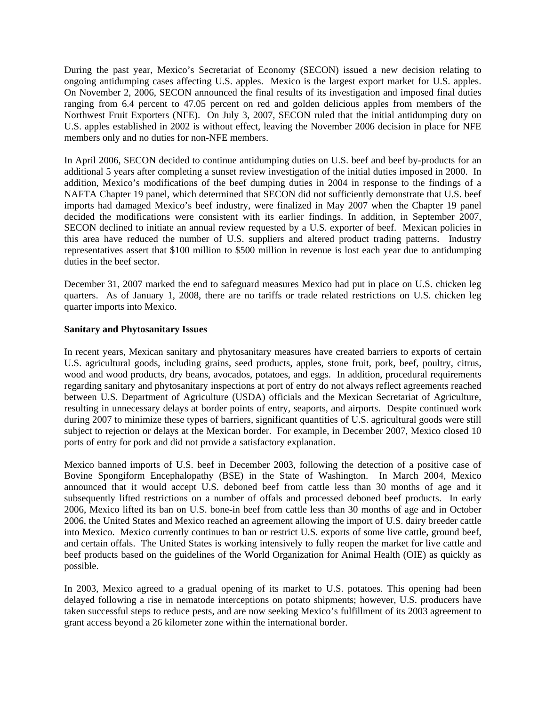During the past year, Mexico's Secretariat of Economy (SECON) issued a new decision relating to ongoing antidumping cases affecting U.S. apples. Mexico is the largest export market for U.S. apples. On November 2, 2006, SECON announced the final results of its investigation and imposed final duties ranging from 6.4 percent to 47.05 percent on red and golden delicious apples from members of the Northwest Fruit Exporters (NFE). On July 3, 2007, SECON ruled that the initial antidumping duty on U.S. apples established in 2002 is without effect, leaving the November 2006 decision in place for NFE members only and no duties for non-NFE members.

In April 2006, SECON decided to continue antidumping duties on U.S. beef and beef by-products for an additional 5 years after completing a sunset review investigation of the initial duties imposed in 2000. In addition, Mexico's modifications of the beef dumping duties in 2004 in response to the findings of a NAFTA Chapter 19 panel, which determined that SECON did not sufficiently demonstrate that U.S. beef imports had damaged Mexico's beef industry, were finalized in May 2007 when the Chapter 19 panel decided the modifications were consistent with its earlier findings. In addition, in September 2007, SECON declined to initiate an annual review requested by a U.S. exporter of beef. Mexican policies in this area have reduced the number of U.S. suppliers and altered product trading patterns. Industry representatives assert that \$100 million to \$500 million in revenue is lost each year due to antidumping duties in the beef sector.

December 31, 2007 marked the end to safeguard measures Mexico had put in place on U.S. chicken leg quarters. As of January 1, 2008, there are no tariffs or trade related restrictions on U.S. chicken leg quarter imports into Mexico.

#### **Sanitary and Phytosanitary Issues**

In recent years, Mexican sanitary and phytosanitary measures have created barriers to exports of certain U.S. agricultural goods, including grains, seed products, apples, stone fruit, pork, beef, poultry, citrus, wood and wood products, dry beans, avocados, potatoes, and eggs. In addition, procedural requirements regarding sanitary and phytosanitary inspections at port of entry do not always reflect agreements reached between U.S. Department of Agriculture (USDA) officials and the Mexican Secretariat of Agriculture, resulting in unnecessary delays at border points of entry, seaports, and airports. Despite continued work during 2007 to minimize these types of barriers, significant quantities of U.S. agricultural goods were still subject to rejection or delays at the Mexican border. For example, in December 2007, Mexico closed 10 ports of entry for pork and did not provide a satisfactory explanation.

Mexico banned imports of U.S. beef in December 2003, following the detection of a positive case of Bovine Spongiform Encephalopathy (BSE) in the State of Washington. In March 2004, Mexico announced that it would accept U.S. deboned beef from cattle less than 30 months of age and it subsequently lifted restrictions on a number of offals and processed deboned beef products. In early 2006, Mexico lifted its ban on U.S. bone-in beef from cattle less than 30 months of age and in October 2006, the United States and Mexico reached an agreement allowing the import of U.S. dairy breeder cattle into Mexico. Mexico currently continues to ban or restrict U.S. exports of some live cattle, ground beef, and certain offals. The United States is working intensively to fully reopen the market for live cattle and beef products based on the guidelines of the World Organization for Animal Health (OIE) as quickly as possible.

In 2003, Mexico agreed to a gradual opening of its market to U.S. potatoes. This opening had been delayed following a rise in nematode interceptions on potato shipments; however, U.S. producers have taken successful steps to reduce pests, and are now seeking Mexico's fulfillment of its 2003 agreement to grant access beyond a 26 kilometer zone within the international border.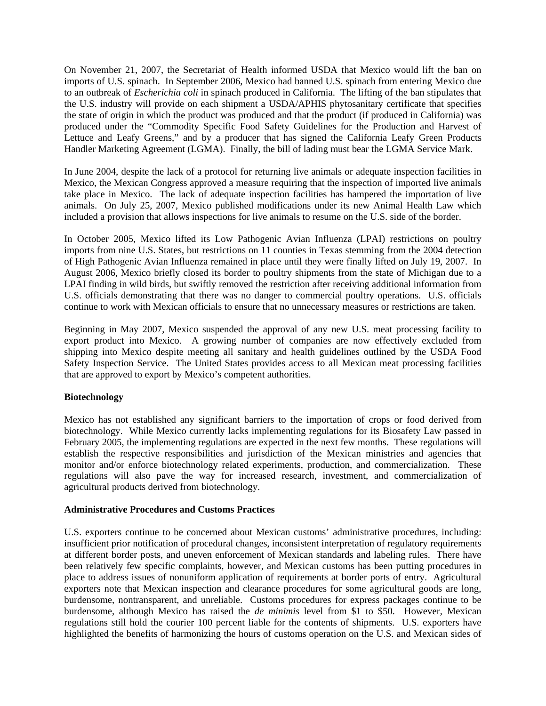On November 21, 2007, the Secretariat of Health informed USDA that Mexico would lift the ban on imports of U.S. spinach. In September 2006, Mexico had banned U.S. spinach from entering Mexico due to an outbreak of *Escherichia coli* in spinach produced in California. The lifting of the ban stipulates that the U.S. industry will provide on each shipment a USDA/APHIS phytosanitary certificate that specifies the state of origin in which the product was produced and that the product (if produced in California) was produced under the "Commodity Specific Food Safety Guidelines for the Production and Harvest of Lettuce and Leafy Greens," and by a producer that has signed the California Leafy Green Products Handler Marketing Agreement (LGMA). Finally, the bill of lading must bear the LGMA Service Mark.

In June 2004, despite the lack of a protocol for returning live animals or adequate inspection facilities in Mexico, the Mexican Congress approved a measure requiring that the inspection of imported live animals take place in Mexico. The lack of adequate inspection facilities has hampered the importation of live animals. On July 25, 2007, Mexico published modifications under its new Animal Health Law which included a provision that allows inspections for live animals to resume on the U.S. side of the border.

In October 2005, Mexico lifted its Low Pathogenic Avian Influenza (LPAI) restrictions on poultry imports from nine U.S. States, but restrictions on 11 counties in Texas stemming from the 2004 detection of High Pathogenic Avian Influenza remained in place until they were finally lifted on July 19, 2007. In August 2006, Mexico briefly closed its border to poultry shipments from the state of Michigan due to a LPAI finding in wild birds, but swiftly removed the restriction after receiving additional information from U.S. officials demonstrating that there was no danger to commercial poultry operations. U.S. officials continue to work with Mexican officials to ensure that no unnecessary measures or restrictions are taken.

Beginning in May 2007, Mexico suspended the approval of any new U.S. meat processing facility to export product into Mexico. A growing number of companies are now effectively excluded from shipping into Mexico despite meeting all sanitary and health guidelines outlined by the USDA Food Safety Inspection Service. The United States provides access to all Mexican meat processing facilities that are approved to export by Mexico's competent authorities.

## **Biotechnology**

Mexico has not established any significant barriers to the importation of crops or food derived from biotechnology. While Mexico currently lacks implementing regulations for its Biosafety Law passed in February 2005, the implementing regulations are expected in the next few months. These regulations will establish the respective responsibilities and jurisdiction of the Mexican ministries and agencies that monitor and/or enforce biotechnology related experiments, production, and commercialization. These regulations will also pave the way for increased research, investment, and commercialization of agricultural products derived from biotechnology.

## **Administrative Procedures and Customs Practices**

U.S. exporters continue to be concerned about Mexican customs' administrative procedures, including: insufficient prior notification of procedural changes, inconsistent interpretation of regulatory requirements at different border posts, and uneven enforcement of Mexican standards and labeling rules. There have been relatively few specific complaints, however, and Mexican customs has been putting procedures in place to address issues of nonuniform application of requirements at border ports of entry. Agricultural exporters note that Mexican inspection and clearance procedures for some agricultural goods are long, burdensome, nontransparent, and unreliable. Customs procedures for express packages continue to be burdensome, although Mexico has raised the *de minimis* level from \$1 to \$50. However, Mexican regulations still hold the courier 100 percent liable for the contents of shipments. U.S. exporters have highlighted the benefits of harmonizing the hours of customs operation on the U.S. and Mexican sides of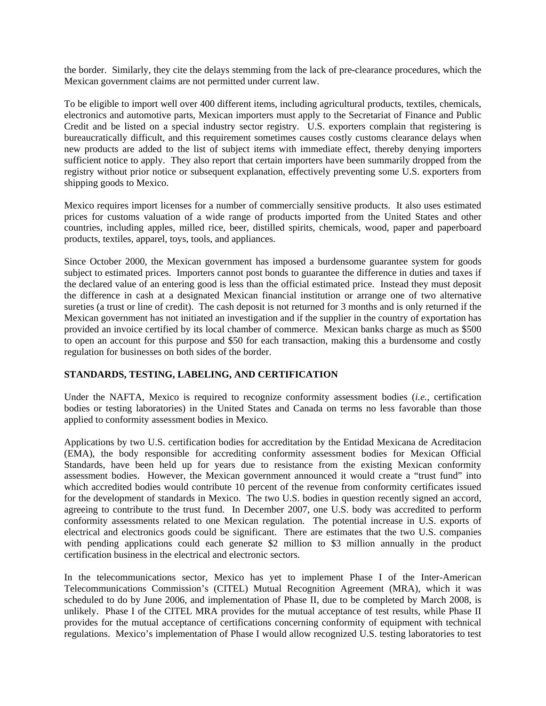the border. Similarly, they cite the delays stemming from the lack of pre-clearance procedures, which the Mexican government claims are not permitted under current law.

To be eligible to import well over 400 different items, including agricultural products, textiles, chemicals, electronics and automotive parts, Mexican importers must apply to the Secretariat of Finance and Public Credit and be listed on a special industry sector registry. U.S. exporters complain that registering is bureaucratically difficult, and this requirement sometimes causes costly customs clearance delays when new products are added to the list of subject items with immediate effect, thereby denying importers sufficient notice to apply. They also report that certain importers have been summarily dropped from the registry without prior notice or subsequent explanation, effectively preventing some U.S. exporters from shipping goods to Mexico.

Mexico requires import licenses for a number of commercially sensitive products. It also uses estimated prices for customs valuation of a wide range of products imported from the United States and other countries, including apples, milled rice, beer, distilled spirits, chemicals, wood, paper and paperboard products, textiles, apparel, toys, tools, and appliances.

Since October 2000, the Mexican government has imposed a burdensome guarantee system for goods subject to estimated prices. Importers cannot post bonds to guarantee the difference in duties and taxes if the declared value of an entering good is less than the official estimated price. Instead they must deposit the difference in cash at a designated Mexican financial institution or arrange one of two alternative sureties (a trust or line of credit). The cash deposit is not returned for 3 months and is only returned if the Mexican government has not initiated an investigation and if the supplier in the country of exportation has provided an invoice certified by its local chamber of commerce. Mexican banks charge as much as \$500 to open an account for this purpose and \$50 for each transaction, making this a burdensome and costly regulation for businesses on both sides of the border.

## **STANDARDS, TESTING, LABELING, AND CERTIFICATION**

Under the NAFTA, Mexico is required to recognize conformity assessment bodies (*i.e.*, certification bodies or testing laboratories) in the United States and Canada on terms no less favorable than those applied to conformity assessment bodies in Mexico.

Applications by two U.S. certification bodies for accreditation by the Entidad Mexicana de Acreditacion (EMA), the body responsible for accrediting conformity assessment bodies for Mexican Official Standards, have been held up for years due to resistance from the existing Mexican conformity assessment bodies. However, the Mexican government announced it would create a "trust fund" into which accredited bodies would contribute 10 percent of the revenue from conformity certificates issued for the development of standards in Mexico. The two U.S. bodies in question recently signed an accord, agreeing to contribute to the trust fund. In December 2007, one U.S. body was accredited to perform conformity assessments related to one Mexican regulation. The potential increase in U.S. exports of electrical and electronics goods could be significant. There are estimates that the two U.S. companies with pending applications could each generate \$2 million to \$3 million annually in the product certification business in the electrical and electronic sectors.

In the telecommunications sector, Mexico has yet to implement Phase I of the Inter-American Telecommunications Commission's (CITEL) Mutual Recognition Agreement (MRA), which it was scheduled to do by June 2006, and implementation of Phase II, due to be completed by March 2008, is unlikely. Phase I of the CITEL MRA provides for the mutual acceptance of test results, while Phase II provides for the mutual acceptance of certifications concerning conformity of equipment with technical regulations. Mexico's implementation of Phase I would allow recognized U.S. testing laboratories to test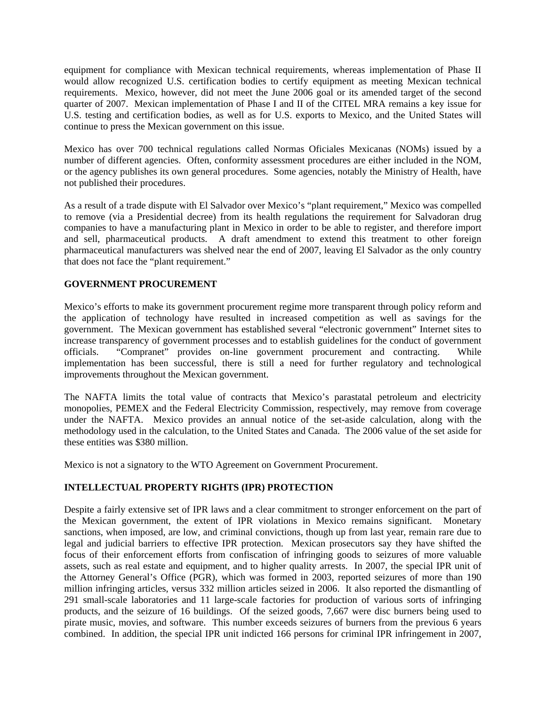equipment for compliance with Mexican technical requirements, whereas implementation of Phase II would allow recognized U.S. certification bodies to certify equipment as meeting Mexican technical requirements. Mexico, however, did not meet the June 2006 goal or its amended target of the second quarter of 2007. Mexican implementation of Phase I and II of the CITEL MRA remains a key issue for U.S. testing and certification bodies, as well as for U.S. exports to Mexico, and the United States will continue to press the Mexican government on this issue.

Mexico has over 700 technical regulations called Normas Oficiales Mexicanas (NOMs) issued by a number of different agencies. Often, conformity assessment procedures are either included in the NOM, or the agency publishes its own general procedures. Some agencies, notably the Ministry of Health, have not published their procedures.

As a result of a trade dispute with El Salvador over Mexico's "plant requirement," Mexico was compelled to remove (via a Presidential decree) from its health regulations the requirement for Salvadoran drug companies to have a manufacturing plant in Mexico in order to be able to register, and therefore import and sell, pharmaceutical products. A draft amendment to extend this treatment to other foreign pharmaceutical manufacturers was shelved near the end of 2007, leaving El Salvador as the only country that does not face the "plant requirement."

## **GOVERNMENT PROCUREMENT**

Mexico's efforts to make its government procurement regime more transparent through policy reform and the application of technology have resulted in increased competition as well as savings for the government. The Mexican government has established several "electronic government" Internet sites to increase transparency of government processes and to establish guidelines for the conduct of government officials. "Compranet" provides on-line government procurement and contracting. While implementation has been successful, there is still a need for further regulatory and technological improvements throughout the Mexican government.

The NAFTA limits the total value of contracts that Mexico's parastatal petroleum and electricity monopolies, PEMEX and the Federal Electricity Commission, respectively, may remove from coverage under the NAFTA. Mexico provides an annual notice of the set-aside calculation, along with the methodology used in the calculation, to the United States and Canada. The 2006 value of the set aside for these entities was \$380 million.

Mexico is not a signatory to the WTO Agreement on Government Procurement.

# **INTELLECTUAL PROPERTY RIGHTS (IPR) PROTECTION**

Despite a fairly extensive set of IPR laws and a clear commitment to stronger enforcement on the part of the Mexican government, the extent of IPR violations in Mexico remains significant. Monetary sanctions, when imposed, are low, and criminal convictions, though up from last year, remain rare due to legal and judicial barriers to effective IPR protection. Mexican prosecutors say they have shifted the focus of their enforcement efforts from confiscation of infringing goods to seizures of more valuable assets, such as real estate and equipment, and to higher quality arrests. In 2007, the special IPR unit of the Attorney General's Office (PGR), which was formed in 2003, reported seizures of more than 190 million infringing articles, versus 332 million articles seized in 2006. It also reported the dismantling of 291 small-scale laboratories and 11 large-scale factories for production of various sorts of infringing products, and the seizure of 16 buildings. Of the seized goods, 7,667 were disc burners being used to pirate music, movies, and software. This number exceeds seizures of burners from the previous 6 years combined. In addition, the special IPR unit indicted 166 persons for criminal IPR infringement in 2007,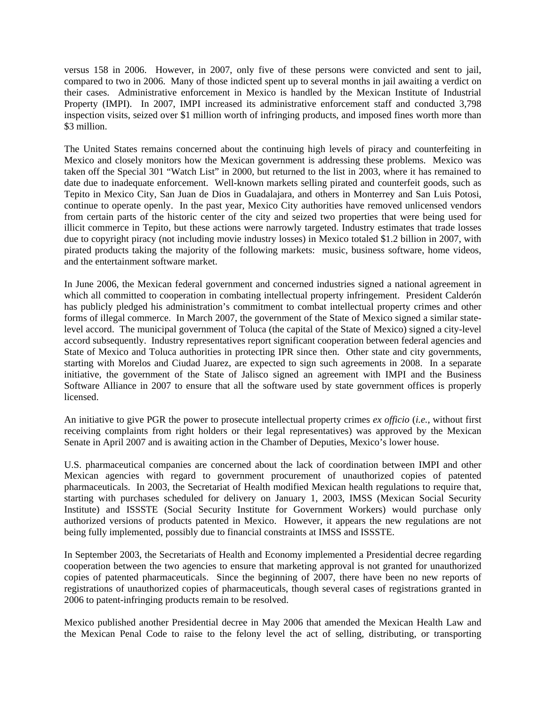versus 158 in 2006. However, in 2007, only five of these persons were convicted and sent to jail, compared to two in 2006. Many of those indicted spent up to several months in jail awaiting a verdict on their cases. Administrative enforcement in Mexico is handled by the Mexican Institute of Industrial Property (IMPI). In 2007, IMPI increased its administrative enforcement staff and conducted 3,798 inspection visits, seized over \$1 million worth of infringing products, and imposed fines worth more than \$3 million.

The United States remains concerned about the continuing high levels of piracy and counterfeiting in Mexico and closely monitors how the Mexican government is addressing these problems. Mexico was taken off the Special 301 "Watch List" in 2000, but returned to the list in 2003, where it has remained to date due to inadequate enforcement. Well-known markets selling pirated and counterfeit goods, such as Tepito in Mexico City, San Juan de Dios in Guadalajara, and others in Monterrey and San Luis Potosi, continue to operate openly. In the past year, Mexico City authorities have removed unlicensed vendors from certain parts of the historic center of the city and seized two properties that were being used for illicit commerce in Tepito, but these actions were narrowly targeted. Industry estimates that trade losses due to copyright piracy (not including movie industry losses) in Mexico totaled \$1.2 billion in 2007, with pirated products taking the majority of the following markets: music, business software, home videos, and the entertainment software market.

In June 2006, the Mexican federal government and concerned industries signed a national agreement in which all committed to cooperation in combating intellectual property infringement. President Calderón has publicly pledged his administration's commitment to combat intellectual property crimes and other forms of illegal commerce. In March 2007, the government of the State of Mexico signed a similar statelevel accord. The municipal government of Toluca (the capital of the State of Mexico) signed a city-level accord subsequently. Industry representatives report significant cooperation between federal agencies and State of Mexico and Toluca authorities in protecting IPR since then. Other state and city governments, starting with Morelos and Ciudad Juarez, are expected to sign such agreements in 2008. In a separate initiative, the government of the State of Jalisco signed an agreement with IMPI and the Business Software Alliance in 2007 to ensure that all the software used by state government offices is properly licensed.

An initiative to give PGR the power to prosecute intellectual property crimes *ex officio* (*i.e.*, without first receiving complaints from right holders or their legal representatives) was approved by the Mexican Senate in April 2007 and is awaiting action in the Chamber of Deputies, Mexico's lower house.

U.S. pharmaceutical companies are concerned about the lack of coordination between IMPI and other Mexican agencies with regard to government procurement of unauthorized copies of patented pharmaceuticals. In 2003, the Secretariat of Health modified Mexican health regulations to require that, starting with purchases scheduled for delivery on January 1, 2003, IMSS (Mexican Social Security Institute) and ISSSTE (Social Security Institute for Government Workers) would purchase only authorized versions of products patented in Mexico. However, it appears the new regulations are not being fully implemented, possibly due to financial constraints at IMSS and ISSSTE.

In September 2003, the Secretariats of Health and Economy implemented a Presidential decree regarding cooperation between the two agencies to ensure that marketing approval is not granted for unauthorized copies of patented pharmaceuticals. Since the beginning of 2007, there have been no new reports of registrations of unauthorized copies of pharmaceuticals, though several cases of registrations granted in 2006 to patent-infringing products remain to be resolved.

Mexico published another Presidential decree in May 2006 that amended the Mexican Health Law and the Mexican Penal Code to raise to the felony level the act of selling, distributing, or transporting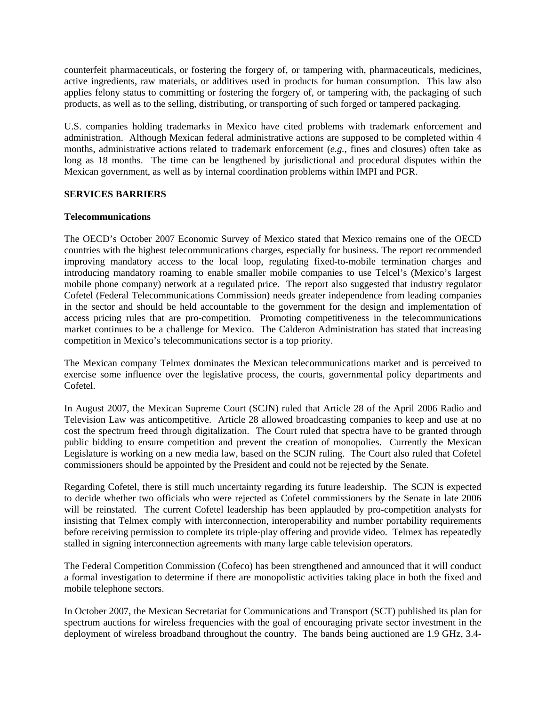counterfeit pharmaceuticals, or fostering the forgery of, or tampering with, pharmaceuticals, medicines, active ingredients, raw materials, or additives used in products for human consumption. This law also applies felony status to committing or fostering the forgery of, or tampering with, the packaging of such products, as well as to the selling, distributing, or transporting of such forged or tampered packaging.

U.S. companies holding trademarks in Mexico have cited problems with trademark enforcement and administration. Although Mexican federal administrative actions are supposed to be completed within 4 months, administrative actions related to trademark enforcement (*e.g.*, fines and closures) often take as long as 18 months. The time can be lengthened by jurisdictional and procedural disputes within the Mexican government, as well as by internal coordination problems within IMPI and PGR.

## **SERVICES BARRIERS**

#### **Telecommunications**

The OECD's October 2007 Economic Survey of Mexico stated that Mexico remains one of the OECD countries with the highest telecommunications charges, especially for business. The report recommended improving mandatory access to the local loop, regulating fixed-to-mobile termination charges and introducing mandatory roaming to enable smaller mobile companies to use Telcel's (Mexico's largest mobile phone company) network at a regulated price. The report also suggested that industry regulator Cofetel (Federal Telecommunications Commission) needs greater independence from leading companies in the sector and should be held accountable to the government for the design and implementation of access pricing rules that are pro-competition. Promoting competitiveness in the telecommunications market continues to be a challenge for Mexico. The Calderon Administration has stated that increasing competition in Mexico's telecommunications sector is a top priority.

The Mexican company Telmex dominates the Mexican telecommunications market and is perceived to exercise some influence over the legislative process, the courts, governmental policy departments and Cofetel.

In August 2007, the Mexican Supreme Court (SCJN) ruled that Article 28 of the April 2006 Radio and Television Law was anticompetitive. Article 28 allowed broadcasting companies to keep and use at no cost the spectrum freed through digitalization. The Court ruled that spectra have to be granted through public bidding to ensure competition and prevent the creation of monopolies. Currently the Mexican Legislature is working on a new media law, based on the SCJN ruling. The Court also ruled that Cofetel commissioners should be appointed by the President and could not be rejected by the Senate.

Regarding Cofetel, there is still much uncertainty regarding its future leadership. The SCJN is expected to decide whether two officials who were rejected as Cofetel commissioners by the Senate in late 2006 will be reinstated. The current Cofetel leadership has been applauded by pro-competition analysts for insisting that Telmex comply with interconnection, interoperability and number portability requirements before receiving permission to complete its triple-play offering and provide video. Telmex has repeatedly stalled in signing interconnection agreements with many large cable television operators.

The Federal Competition Commission (Cofeco) has been strengthened and announced that it will conduct a formal investigation to determine if there are monopolistic activities taking place in both the fixed and mobile telephone sectors.

In October 2007, the Mexican Secretariat for Communications and Transport (SCT) published its plan for spectrum auctions for wireless frequencies with the goal of encouraging private sector investment in the deployment of wireless broadband throughout the country. The bands being auctioned are 1.9 GHz, 3.4